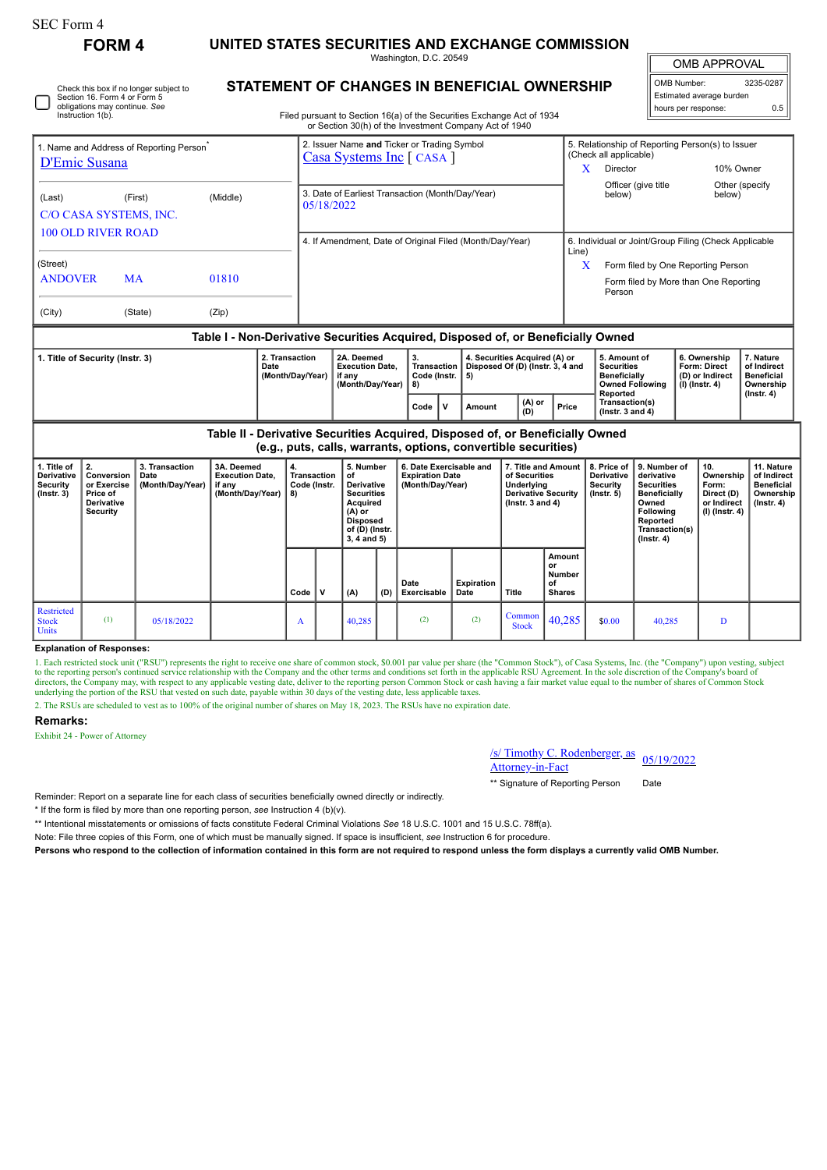| orm<br>. . |  |
|------------|--|
|------------|--|

Check this box if no longer subject to Section 16. Form 4 or Form 5 obligations may continue. *See* Instruction 1(b).

**FORM 4 UNITED STATES SECURITIES AND EXCHANGE COMMISSION**

**STATEMENT OF CHANGES IN BENEFICIAL OWNERSHIP**

Washington, D.C. 20549

OMB APPROVAL

| OMB Number:              | 3235-0287 |
|--------------------------|-----------|
| Estimated average burden |           |
| hours per response:      | 0.5       |

| Filed pursuant to Section 16(a) of the Securities Exchange Act of 1934 |
|------------------------------------------------------------------------|
| or Section 30(b) of the Investment Company Act of 1940                 |

| D'Emic Susana              | Name and Address of Reporting Person <sup>®</sup> |          | 2. Issuer Name and Ticker or Trading Symbol<br><b>Casa Systems Inc</b> [ CASA ]  |            | 5. Relationship of Reporting Person(s) to Issuer<br>(Check all applicable)            |                           |  |  |  |  |
|----------------------------|---------------------------------------------------|----------|----------------------------------------------------------------------------------|------------|---------------------------------------------------------------------------------------|---------------------------|--|--|--|--|
|                            |                                                   |          |                                                                                  |            | Director                                                                              | 10% Owner                 |  |  |  |  |
| (Last)                     | (First)<br>C/O CASA SYSTEMS, INC.                 | (Middle) | 3. Date of Earliest Transaction (Month/Day/Year)<br>05/18/2022                   |            | Officer (give title<br>below)                                                         | Other (specify)<br>below) |  |  |  |  |
| <b>100 OLD RIVER ROAD</b>  |                                                   |          | 4. If Amendment, Date of Original Filed (Month/Day/Year)                         |            | 6. Individual or Joint/Group Filing (Check Applicable                                 |                           |  |  |  |  |
| (Street)<br><b>ANDOVER</b> | <b>MA</b>                                         | 01810    |                                                                                  | Line)<br>X | Form filed by One Reporting Person<br>Form filed by More than One Reporting<br>Person |                           |  |  |  |  |
| (City)                     | (State)                                           | (Zip)    |                                                                                  |            |                                                                                       |                           |  |  |  |  |
|                            |                                                   |          | Table I - Non-Derivative Securities Acquired, Disposed of, or Beneficially Owned |            |                                                                                       |                           |  |  |  |  |

| 1. Title of Security (Instr. 3) | 2. Transaction<br>Date<br>(Month/Dav/Year) | 2A. Deemed<br>Execution Date.<br>∣if anv<br>Month/Dav/Year) | o.<br><b>Transaction I</b><br>Code (Instr. $  5 \rangle$<br>-8) |  | 4. Securities Acquired (A) or<br>Disposed Of (D) (lnstr. 3, 4 and |                 |       | 5. Amount of<br>Securities<br><b>Beneficially</b><br>Owned Following | 6. Ownership<br>Form: Direct<br>l (D) or Indirect<br>  (I) (Instr. 4) | <b>Nature</b><br>of Indirect<br>' Beneficial<br>Ownership |  |
|---------------------------------|--------------------------------------------|-------------------------------------------------------------|-----------------------------------------------------------------|--|-------------------------------------------------------------------|-----------------|-------|----------------------------------------------------------------------|-----------------------------------------------------------------------|-----------------------------------------------------------|--|
|                                 |                                            |                                                             | Code                                                            |  | Amount                                                            | $(A)$ or<br>(D) | Price | <b>Reported</b><br>Transaction(s)<br>( $lnstr.$ 3 and 4)             |                                                                       | (Instr. 4)                                                |  |

**Table II - Derivative Securities Acquired, Disposed of, or Beneficially Owned (e.g., puts, calls, warrants, options, convertible securities)**

|                                                                  | .                                                                                      |                                            |                                                                    |                                         |   |                                                                                                                                  |     |                                                                       |                    |                                                                                                          |                                               |                                                                   |                                                                                                                                                       |                                                                          |                                                                                 |
|------------------------------------------------------------------|----------------------------------------------------------------------------------------|--------------------------------------------|--------------------------------------------------------------------|-----------------------------------------|---|----------------------------------------------------------------------------------------------------------------------------------|-----|-----------------------------------------------------------------------|--------------------|----------------------------------------------------------------------------------------------------------|-----------------------------------------------|-------------------------------------------------------------------|-------------------------------------------------------------------------------------------------------------------------------------------------------|--------------------------------------------------------------------------|---------------------------------------------------------------------------------|
| 1. Title of<br><b>Derivative</b><br>Security<br>$($ lnstr. 3 $)$ | $\mathbf{2}$<br>Conversion<br>or Exercise<br>Price of<br><b>Derivative</b><br>Security | 3. Transaction<br>Date<br>(Month/Day/Year) | 3A. Deemed<br><b>Execution Date,</b><br>if any<br>(Month/Day/Year) | 4.<br>Transaction<br>Code (Instr.<br>8) |   | 5. Number<br>of<br><b>Derivative</b><br>Securities<br>Acquired<br>(A) or<br><b>Disposed</b><br>of (D) (Instr.<br>$3, 4$ and $5)$ |     | 6. Date Exercisable and<br><b>Expiration Date</b><br>(Month/Day/Year) |                    | 7. Title and Amount<br>of Securities<br>Underlying<br><b>Derivative Security</b><br>( $lnstr. 3 and 4$ ) |                                               | 8. Price of<br><b>Derivative</b><br><b>Security</b><br>(Instr. 5) | 9. Number of<br>derivative<br><b>Securities</b><br><b>Beneficially</b><br>Owned<br><b>Following</b><br>Reported<br>Transaction(s)<br>$($ Instr. 4 $)$ | 10.<br>Ownership<br>Form:<br>Direct (D)<br>or Indirect<br>(I) (Instr. 4) | 11. Nature<br>of Indirect<br><b>Beneficial</b><br>Ownership<br>$($ Instr. 4 $)$ |
|                                                                  |                                                                                        |                                            |                                                                    | Code                                    | v | (A)                                                                                                                              | (D) | Date<br>Exercisable                                                   | Expiration<br>Date | Title                                                                                                    | Amount<br>or<br>Number<br>οf<br><b>Shares</b> |                                                                   |                                                                                                                                                       |                                                                          |                                                                                 |
| Restricted<br><b>Stock</b><br><b>Units</b>                       | (1)                                                                                    | 05/18/2022                                 |                                                                    | A                                       |   | 40,285                                                                                                                           |     | (2)                                                                   | (2)                | Common<br><b>Stock</b>                                                                                   | 40,285                                        | \$0.00                                                            | 40,285                                                                                                                                                |                                                                          |                                                                                 |

## **Explanation of Responses:**

1. Each restricted stock unit ("RSU") represents the right to receive one share of common stock, \$0.001 par value per share (the "Common Stock"), of Casa Systems, Inc. (the "Company") upon vesting, subject to the reporting

2. The RSUs are scheduled to vest as to 100% of the original number of shares on May 18, 2023. The RSUs have no expiration date.

## **Remarks:**

Exhibit 24 - Power of Attorney

/s/ Timothy C. Rodenberger, as <u>S/ Timothy C. Kodenberger, as</u> 05/19/2022<br>Attorney-in-Fact

\*\* Signature of Reporting Person Date

Reminder: Report on a separate line for each class of securities beneficially owned directly or indirectly.

\* If the form is filed by more than one reporting person, *see* Instruction 4 (b)(v).

\*\* Intentional misstatements or omissions of facts constitute Federal Criminal Violations *See* 18 U.S.C. 1001 and 15 U.S.C. 78ff(a).

Note: File three copies of this Form, one of which must be manually signed. If space is insufficient, *see* Instruction 6 for procedure.

**Persons who respond to the collection of information contained in this form are not required to respond unless the form displays a currently valid OMB Number.**